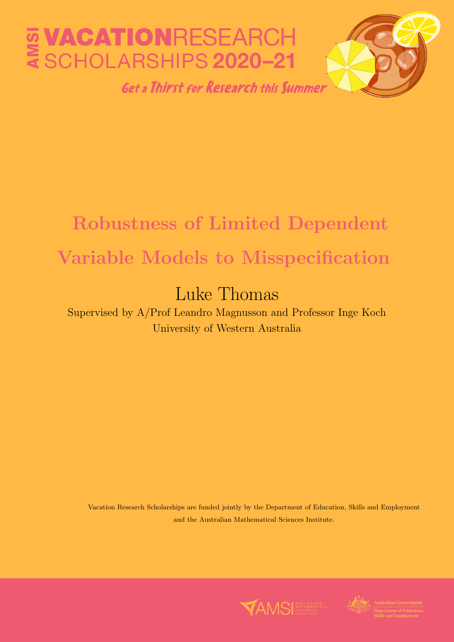

# Robustness of Limited Dependent Variable Models to Misspecification

# Luke Thomas

Supervised by A/Prof Leandro Magnusson and Professor Inge Koch University of Western Australia

Vacation Research Scholarships are funded jointly by the Department of Education, Skills and Employment and the Australian Mathematical Sciences Institute.



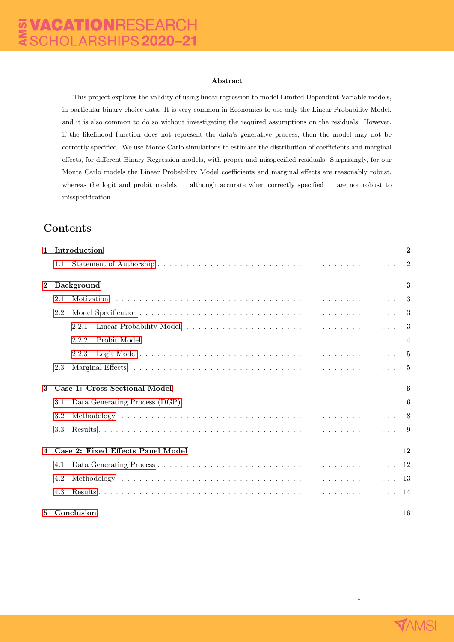#### Abstract

This project explores the validity of using linear regression to model Limited Dependent Variable models, in particular binary choice data. It is very common in Economics to use only the Linear Probability Model, and it is also common to do so without investigating the required assumptions on the residuals. However, if the likelihood function does not represent the data's generative process, then the model may not be correctly specified. We use Monte Carlo simulations to estimate the distribution of coefficients and marginal effects, for different Binary Regression models, with proper and misspecified residuals. Surprisingly, for our Monte Carlo models the Linear Probability Model coefficients and marginal effects are reasonably robust, whereas the logit and probit models — although accurate when correctly specified — are not robust to misspecification.

## Contents

| $\mathbf{1}$ |     | Introduction                      | $\overline{2}$ |
|--------------|-----|-----------------------------------|----------------|
|              | 1.1 |                                   | $\overline{2}$ |
| $\mathbf{2}$ |     | <b>Background</b>                 | 3              |
|              | 2.1 |                                   | $\mathbf{3}$   |
|              | 2.2 |                                   |                |
|              |     | 2.2.1                             |                |
|              |     | 2.2.2                             | 4              |
|              |     | 2.2.3                             |                |
|              | 2.3 |                                   |                |
| 3            |     | Case 1: Cross-Sectional Model     | 6              |
|              | 3.1 |                                   |                |
|              | 3.2 |                                   |                |
|              | 3.3 |                                   |                |
| 4            |     | Case 2: Fixed Effects Panel Model | 12             |
|              | 4.1 |                                   |                |
|              | 4.2 |                                   |                |
|              | 4.3 |                                   |                |
| 5            |     | Conclusion                        | 16             |

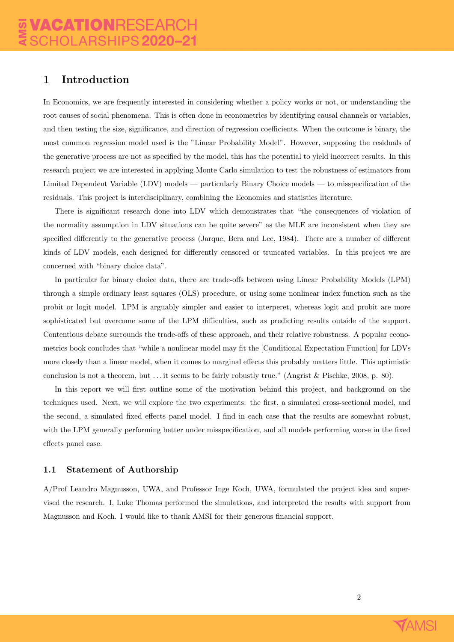## <span id="page-2-0"></span>1 Introduction

In Economics, we are frequently interested in considering whether a policy works or not, or understanding the root causes of social phenomena. This is often done in econometrics by identifying causal channels or variables, and then testing the size, significance, and direction of regression coefficients. When the outcome is binary, the most common regression model used is the "Linear Probability Model". However, supposing the residuals of the generative process are not as specified by the model, this has the potential to yield incorrect results. In this research project we are interested in applying Monte Carlo simulation to test the robustness of estimators from Limited Dependent Variable (LDV) models — particularly Binary Choice models — to misspecification of the residuals. This project is interdisciplinary, combining the Economics and statistics literature.

There is significant research done into LDV which demonstrates that "the consequences of violation of the normality assumption in LDV situations can be quite severe" as the MLE are inconsistent when they are specified differently to the generative process (Jarque, Bera and Lee, 1984). There are a number of different kinds of LDV models, each designed for differently censored or truncated variables. In this project we are concerned with "binary choice data".

In particular for binary choice data, there are trade-offs between using Linear Probability Models (LPM) through a simple ordinary least squares (OLS) procedure, or using some nonlinear index function such as the probit or logit model. LPM is arguably simpler and easier to interperet, whereas logit and probit are more sophisticated but overcome some of the LPM difficulties, such as predicting results outside of the support. Contentious debate surrounds the trade-offs of these approach, and their relative robustness. A popular econometrics book concludes that "while a nonlinear model may fit the [Conditional Expectation Function] for LDVs more closely than a linear model, when it comes to marginal effects this probably matters little. This optimistic conclusion is not a theorem, but . . . it seems to be fairly robustly true." (Angrist & Pischke, 2008, p. 80).

In this report we will first outline some of the motivation behind this project, and background on the techniques used. Next, we will explore the two experiments: the first, a simulated cross-sectional model, and the second, a simulated fixed effects panel model. I find in each case that the results are somewhat robust, with the LPM generally performing better under misspecification, and all models performing worse in the fixed effects panel case.

#### <span id="page-2-1"></span>1.1 Statement of Authorship

A/Prof Leandro Magnusson, UWA, and Professor Inge Koch, UWA, formulated the project idea and supervised the research. I, Luke Thomas performed the simulations, and interpreted the results with support from Magnusson and Koch. I would like to thank AMSI for their generous financial support.

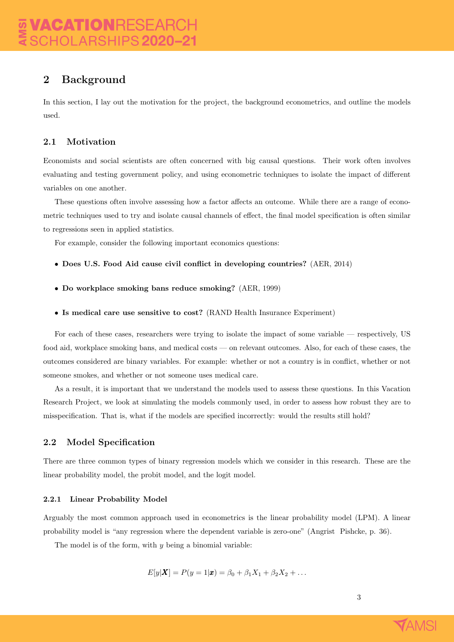## <span id="page-3-0"></span>2 Background

In this section, I lay out the motivation for the project, the background econometrics, and outline the models used.

### <span id="page-3-1"></span>2.1 Motivation

Economists and social scientists are often concerned with big causal questions. Their work often involves evaluating and testing government policy, and using econometric techniques to isolate the impact of different variables on one another.

These questions often involve assessing how a factor affects an outcome. While there are a range of econometric techniques used to try and isolate causal channels of effect, the final model specification is often similar to regressions seen in applied statistics.

For example, consider the following important economics questions:

- Does U.S. Food Aid cause civil conflict in developing countries? (AER, 2014)
- Do workplace smoking bans reduce smoking? (AER, 1999)
- Is medical care use sensitive to cost? (RAND Health Insurance Experiment)

For each of these cases, researchers were trying to isolate the impact of some variable — respectively, US food aid, workplace smoking bans, and medical costs — on relevant outcomes. Also, for each of these cases, the outcomes considered are binary variables. For example: whether or not a country is in conflict, whether or not someone smokes, and whether or not someone uses medical care.

As a result, it is important that we understand the models used to assess these questions. In this Vacation Research Project, we look at simulating the models commonly used, in order to assess how robust they are to misspecification. That is, what if the models are specified incorrectly: would the results still hold?

#### <span id="page-3-2"></span>2.2 Model Specification

There are three common types of binary regression models which we consider in this research. These are the linear probability model, the probit model, and the logit model.

#### <span id="page-3-3"></span>2.2.1 Linear Probability Model

Arguably the most common approach used in econometrics is the linear probability model (LPM). A linear probability model is "any regression where the dependent variable is zero-one" (Angrist Pishcke, p. 36).

The model is of the form, with  $y$  being a binomial variable:

$$
E[y|\bm{X}] = P(y=1|\bm{x}) = \beta_0 + \beta_1 X_1 + \beta_2 X_2 + \dots
$$

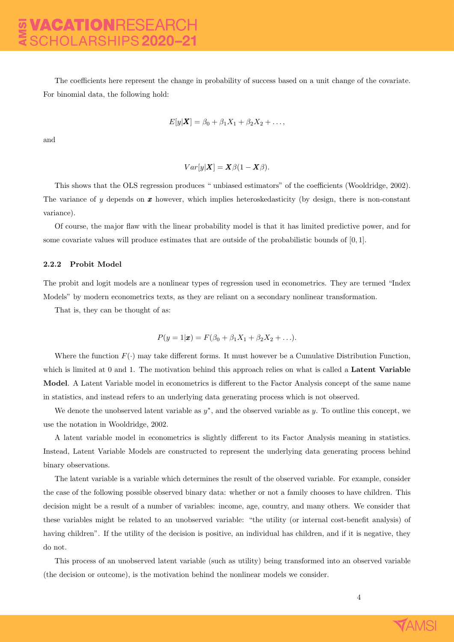The coefficients here represent the change in probability of success based on a unit change of the covariate. For binomial data, the following hold:

$$
E[y|\boldsymbol{X}] = \beta_0 + \beta_1 X_1 + \beta_2 X_2 + \dots,
$$

and

$$
Var[y|\boldsymbol{X}] = \boldsymbol{X}\beta(1-\boldsymbol{X}\beta).
$$

This shows that the OLS regression produces " unbiased estimators" of the coefficients (Wooldridge, 2002). The variance of y depends on  $x$  however, which implies heteroskedasticity (by design, there is non-constant variance).

Of course, the major flaw with the linear probability model is that it has limited predictive power, and for some covariate values will produce estimates that are outside of the probabilistic bounds of [0, 1].

#### <span id="page-4-0"></span>2.2.2 Probit Model

The probit and logit models are a nonlinear types of regression used in econometrics. They are termed "Index Models" by modern econometrics texts, as they are reliant on a secondary nonlinear transformation.

That is, they can be thought of as:

$$
P(y = 1|\pmb{x}) = F(\beta_0 + \beta_1 X_1 + \beta_2 X_2 + \ldots).
$$

Where the function  $F(\cdot)$  may take different forms. It must however be a Cumulative Distribution Function, which is limited at 0 and 1. The motivation behind this approach relies on what is called a **Latent Variable** Model. A Latent Variable model in econometrics is different to the Factor Analysis concept of the same name in statistics, and instead refers to an underlying data generating process which is not observed.

We denote the unobserved latent variable as  $y^*$ , and the observed variable as y. To outline this concept, we use the notation in Wooldridge, 2002.

A latent variable model in econometrics is slightly different to its Factor Analysis meaning in statistics. Instead, Latent Variable Models are constructed to represent the underlying data generating process behind binary observations.

The latent variable is a variable which determines the result of the observed variable. For example, consider the case of the following possible observed binary data: whether or not a family chooses to have children. This decision might be a result of a number of variables: income, age, country, and many others. We consider that these variables might be related to an unobserved variable: "the utility (or internal cost-benefit analysis) of having children". If the utility of the decision is positive, an individual has children, and if it is negative, they do not.

This process of an unobserved latent variable (such as utility) being transformed into an observed variable (the decision or outcome), is the motivation behind the nonlinear models we consider.

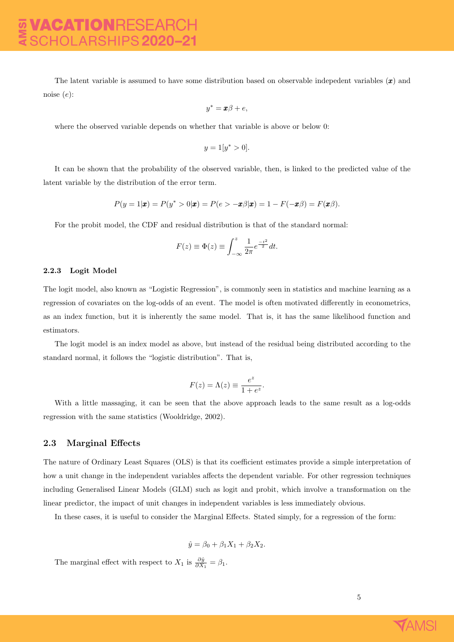The latent variable is assumed to have some distribution based on observable indepedent variables  $(x)$  and noise (e):

$$
y^* = \pmb{x}\beta + e,
$$

where the observed variable depends on whether that variable is above or below 0:

$$
y = 1[y^* > 0].
$$

It can be shown that the probability of the observed variable, then, is linked to the predicted value of the latent variable by the distribution of the error term.

$$
P(y=1|\boldsymbol{x})=P(y^*>0|\boldsymbol{x})=P(e>-\boldsymbol{x}\beta|\boldsymbol{x})=1-F(-\boldsymbol{x}\beta)=F(\boldsymbol{x}\beta).
$$

For the probit model, the CDF and residual distribution is that of the standard normal:

$$
F(z) \equiv \Phi(z) \equiv \int_{-\infty}^{z} \frac{1}{2\pi} e^{\frac{-t^2}{2}} dt.
$$

#### <span id="page-5-0"></span>2.2.3 Logit Model

The logit model, also known as "Logistic Regression", is commonly seen in statistics and machine learning as a regression of covariates on the log-odds of an event. The model is often motivated differently in econometrics, as an index function, but it is inherently the same model. That is, it has the same likelihood function and estimators.

The logit model is an index model as above, but instead of the residual being distributed according to the standard normal, it follows the "logistic distribution". That is,

$$
F(z) = \Lambda(z) \equiv \frac{e^z}{1 + e^z}.
$$

With a little massaging, it can be seen that the above approach leads to the same result as a log-odds regression with the same statistics (Wooldridge, 2002).

#### <span id="page-5-1"></span>2.3 Marginal Effects

The nature of Ordinary Least Squares (OLS) is that its coefficient estimates provide a simple interpretation of how a unit change in the independent variables affects the dependent variable. For other regression techniques including Generalised Linear Models (GLM) such as logit and probit, which involve a transformation on the linear predictor, the impact of unit changes in independent variables is less immediately obvious.

In these cases, it is useful to consider the Marginal Effects. Stated simply, for a regression of the form:

$$
\hat{y} = \beta_0 + \beta_1 X_1 + \beta_2 X_2.
$$

The marginal effect with respect to  $X_1$  is  $\frac{\partial \hat{y}}{\partial X_1} = \beta_1$ .

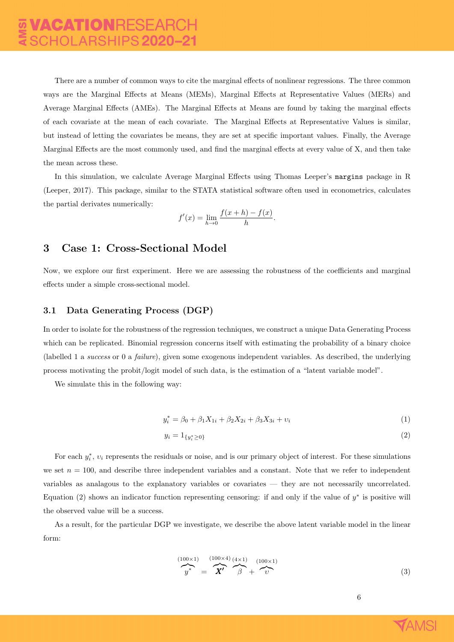There are a number of common ways to cite the marginal effects of nonlinear regressions. The three common ways are the Marginal Effects at Means (MEMs), Marginal Effects at Representative Values (MERs) and Average Marginal Effects (AMEs). The Marginal Effects at Means are found by taking the marginal effects of each covariate at the mean of each covariate. The Marginal Effects at Representative Values is similar, but instead of letting the covariates be means, they are set at specific important values. Finally, the Average Marginal Effects are the most commonly used, and find the marginal effects at every value of X, and then take the mean across these.

In this simulation, we calculate Average Marginal Effects using Thomas Leeper's margins package in R (Leeper, 2017). This package, similar to the STATA statistical software often used in econometrics, calculates the partial derivates numerically:

$$
f'(x) = \lim_{h \to 0} \frac{f(x+h) - f(x)}{h}.
$$

## <span id="page-6-0"></span>3 Case 1: Cross-Sectional Model

Now, we explore our first experiment. Here we are assessing the robustness of the coefficients and marginal effects under a simple cross-sectional model.

#### <span id="page-6-1"></span>3.1 Data Generating Process (DGP)

In order to isolate for the robustness of the regression techniques, we construct a unique Data Generating Process which can be replicated. Binomial regression concerns itself with estimating the probability of a binary choice (labelled 1 a success or 0 a failure), given some exogenous independent variables. As described, the underlying process motivating the probit/logit model of such data, is the estimation of a "latent variable model".

We simulate this in the following way:

$$
y_i^* = \beta_0 + \beta_1 X_{1i} + \beta_2 X_{2i} + \beta_3 X_{3i} + \nu_i \tag{1}
$$

$$
y_i = 1_{\{y_i^* \ge 0\}}\tag{2}
$$

For each  $y_i^*$ ,  $v_i$  represents the residuals or noise, and is our primary object of interest. For these simulations we set  $n = 100$ , and describe three independent variables and a constant. Note that we refer to independent variables as analagous to the explanatory variables or covariates — they are not necessarily uncorrelated. Equation (2) shows an indicator function representing censoring: if and only if the value of  $y^*$  is positive will the observed value will be a success.

As a result, for the particular DGP we investigate, we describe the above latent variable model in the linear form:

$$
\overbrace{y^*}^{(100\times1)} = \overbrace{X'}^{(100\times4)} \overbrace{\beta}^{(4\times1)} + \overbrace{\upsilon}^{(100\times1)} \tag{3}
$$

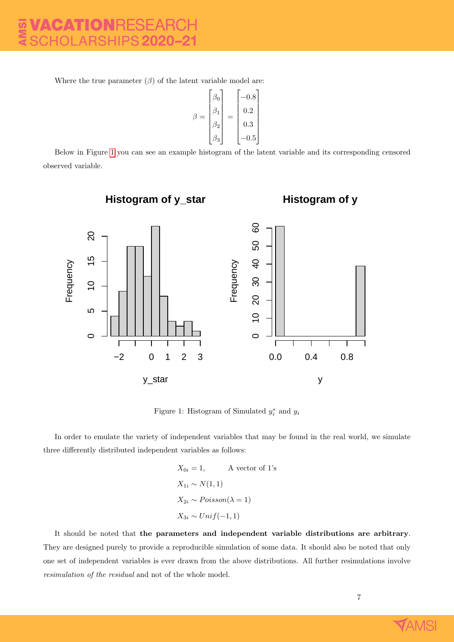Where the true parameter  $(\beta)$  of the latent variable model are:

$$
\beta = \begin{bmatrix} \beta_0 \\ \beta_1 \\ \beta_2 \\ \beta_3 \end{bmatrix} = \begin{bmatrix} -0.8 \\ 0.2 \\ 0.3 \\ -0.5 \end{bmatrix}
$$

Below in Figure [1](#page-7-0) you can see an example histogram of the latent variable and its corresponding censored observed variable.

<span id="page-7-0"></span>

Figure 1: Histogram of Simulated  $y_i^*$  and  $y_i$ 

In order to emulate the variety of independent variables that may be found in the real world, we simulate three differently distributed independent variables as follows:

$$
X_{0i} = 1, \qquad \text{A vector of 1's}
$$

$$
X_{1i} \sim N(1, 1)
$$

$$
X_{2i} \sim Poisson(\lambda = 1)
$$

$$
X_{3i} \sim Unif(-1, 1)
$$

It should be noted that the parameters and independent variable distributions are arbitrary. They are designed purely to provide a reproducible simulation of some data. It should also be noted that only one set of independent variables is ever drawn from the above distributions. All further resimulations involve resimulation of the residual and not of the whole model.

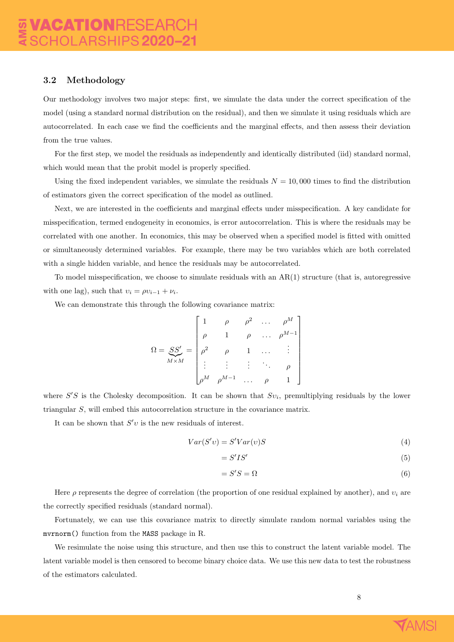#### <span id="page-8-0"></span>3.2 Methodology

Our methodology involves two major steps: first, we simulate the data under the correct specification of the model (using a standard normal distribution on the residual), and then we simulate it using residuals which are autocorrelated. In each case we find the coefficients and the marginal effects, and then assess their deviation from the true values.

For the first step, we model the residuals as independently and identically distributed (iid) standard normal, which would mean that the probit model is properly specified.

Using the fixed independent variables, we simulate the residuals  $N = 10,000$  times to find the distribution of estimators given the correct specification of the model as outlined.

Next, we are interested in the coefficients and marginal effects under misspecification. A key candidate for misspecification, termed endogeneity in economics, is error autocorrelation. This is where the residuals may be correlated with one another. In economics, this may be observed when a specified model is fitted with omitted or simultaneously determined variables. For example, there may be two variables which are both correlated with a single hidden variable, and hence the residuals may be autocorrelated.

To model misspecification, we choose to simulate residuals with an AR(1) structure (that is, autoregressive with one lag), such that  $v_i = \rho v_{i-1} + \nu_i$ .

We can demonstrate this through the following covariance matrix:

$$
\Omega = \underbrace{SS'}_{M \times M} = \begin{bmatrix} 1 & \rho & \rho^2 & \dots & \rho^M \\ \rho & 1 & \rho & \dots & \rho^{M-1} \\ \rho^2 & \rho & 1 & \dots & \vdots \\ \vdots & \vdots & \vdots & \ddots & \rho \\ \rho^M & \rho^{M-1} & \dots & \rho & 1 \end{bmatrix}
$$

where  $S'S$  is the Cholesky decomposition. It can be shown that  $Sv_i$ , premultiplying residuals by the lower triangular S, will embed this autocorrelation structure in the covariance matrix.

It can be shown that  $S'v$  is the new residuals of interest.

$$
Var(S'v) = S'Var(v)S
$$
\n<sup>(4)</sup>

$$
=S'IS'
$$
 (5)

$$
=S'S=\Omega
$$
\n<sup>(6)</sup>

Here  $\rho$  represents the degree of correlation (the proportion of one residual explained by another), and  $v_i$  are the correctly specified residuals (standard normal).

Fortunately, we can use this covariance matrix to directly simulate random normal variables using the mvrnorm() function from the MASS package in R.

We resimulate the noise using this structure, and then use this to construct the latent variable model. The latent variable model is then censored to become binary choice data. We use this new data to test the robustness of the estimators calculated.

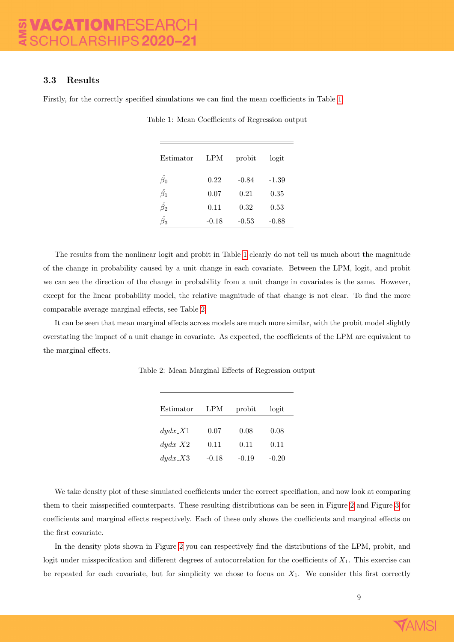#### <span id="page-9-0"></span>3.3 Results

<span id="page-9-1"></span>Firstly, for the correctly specified simulations we can find the mean coefficients in Table [1.](#page-9-1)

| Estimator       | LPM     | probit  | logit   |
|-----------------|---------|---------|---------|
| $\hat{\beta_0}$ | 0.22    | $-0.84$ | $-1.39$ |
| $\hat{\beta_1}$ | 0.07    | 0.21    | 0.35    |
| $\hat{\beta_2}$ | 0.11    | 0.32    | 0.53    |
| Э3              | $-0.18$ | $-0.53$ | $-0.88$ |

Table 1: Mean Coefficients of Regression output

The results from the nonlinear logit and probit in Table [1](#page-9-1) clearly do not tell us much about the magnitude of the change in probability caused by a unit change in each covariate. Between the LPM, logit, and probit we can see the direction of the change in probability from a unit change in covariates is the same. However, except for the linear probability model, the relative magnitude of that change is not clear. To find the more comparable average marginal effects, see Table [2.](#page-9-2)

<span id="page-9-2"></span>It can be seen that mean marginal effects across models are much more similar, with the probit model slightly overstating the impact of a unit change in covariate. As expected, the coefficients of the LPM are equivalent to the marginal effects.

| Estimator                | <b>LPM</b> | probit | logit   |
|--------------------------|------------|--------|---------|
| $dydx$ <sub>-X</sub> 1   | 0.07       | 0.08   | 0.08    |
| $dydx$ <sub>-</sub> $X2$ | 0.11       | 0.11   | 0.11    |
| $dydx$ <sub>-</sub> $X3$ | -0.18      | -0.19  | $-0.20$ |

Table 2: Mean Marginal Effects of Regression output

We take density plot of these simulated coefficients under the correct specifiation, and now look at comparing them to their misspecified counterparts. These resulting distributions can be seen in Figure [2](#page-11-0) and Figure [3](#page-12-2) for coefficients and marginal effects respectively. Each of these only shows the coefficients and marginal effects on the first covariate.

In the density plots shown in Figure [2](#page-11-0) you can respectively find the distributions of the LPM, probit, and logit under misspecification and different degrees of autocorrelation for the coefficients of  $X_1$ . This exercise can be repeated for each covariate, but for simplicity we chose to focus on  $X_1$ . We consider this first correctly

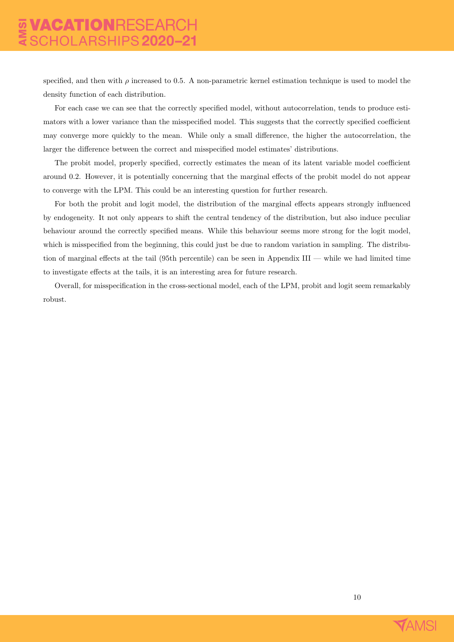specified, and then with  $\rho$  increased to 0.5. A non-parametric kernel estimation technique is used to model the density function of each distribution.

For each case we can see that the correctly specified model, without autocorrelation, tends to produce estimators with a lower variance than the misspecified model. This suggests that the correctly specified coefficient may converge more quickly to the mean. While only a small difference, the higher the autocorrelation, the larger the difference between the correct and misspecified model estimates' distributions.

The probit model, properly specified, correctly estimates the mean of its latent variable model coefficient around 0.2. However, it is potentially concerning that the marginal effects of the probit model do not appear to converge with the LPM. This could be an interesting question for further research.

For both the probit and logit model, the distribution of the marginal effects appears strongly influenced by endogeneity. It not only appears to shift the central tendency of the distribution, but also induce peculiar behaviour around the correctly specified means. While this behaviour seems more strong for the logit model, which is misspecified from the beginning, this could just be due to random variation in sampling. The distribution of marginal effects at the tail (95th percentile) can be seen in Appendix III — while we had limited time to investigate effects at the tails, it is an interesting area for future research.

Overall, for misspecification in the cross-sectional model, each of the LPM, probit and logit seem remarkably robust.

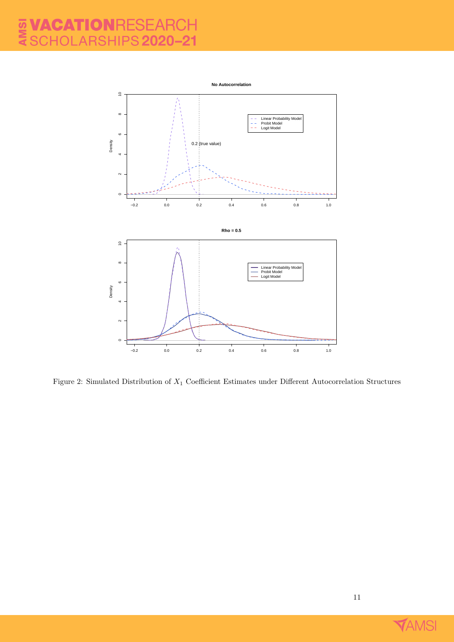## **AMSI** VACATIONRESEA SCHOLARSHIPS 2020-21

<span id="page-11-0"></span>

Figure 2: Simulated Distribution of X<sup>1</sup> Coefficient Estimates under Different Autocorrelation Structures

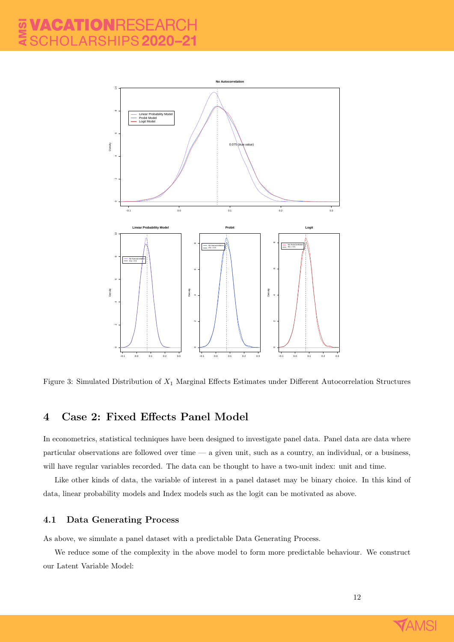<span id="page-12-2"></span>

Figure 3: Simulated Distribution of X<sup>1</sup> Marginal Effects Estimates under Different Autocorrelation Structures

## <span id="page-12-0"></span>4 Case 2: Fixed Effects Panel Model

In econometrics, statistical techniques have been designed to investigate panel data. Panel data are data where particular observations are followed over time — a given unit, such as a country, an individual, or a business, will have regular variables recorded. The data can be thought to have a two-unit index: unit and time.

Like other kinds of data, the variable of interest in a panel dataset may be binary choice. In this kind of data, linear probability models and Index models such as the logit can be motivated as above.

#### <span id="page-12-1"></span>4.1 Data Generating Process

As above, we simulate a panel dataset with a predictable Data Generating Process.

We reduce some of the complexity in the above model to form more predictable behaviour. We construct our Latent Variable Model:

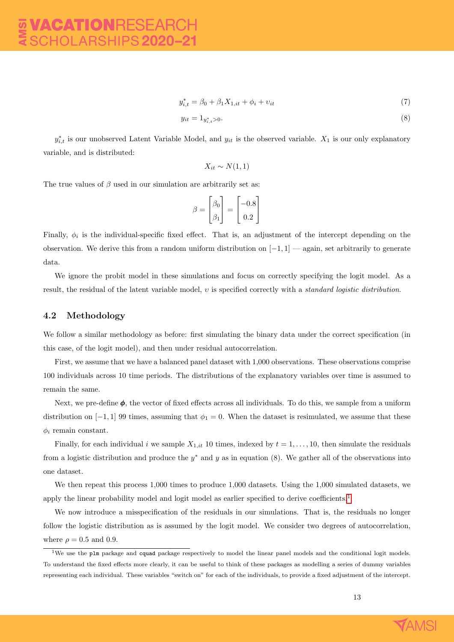$$
y_{i,t}^* = \beta_0 + \beta_1 X_{1,it} + \phi_i + \nu_{it}
$$
\n(7)

$$
y_{it} = 1_{y_{i,t}^* > 0}.\tag{8}
$$

 $y_{i,t}^*$  is our unobserved Latent Variable Model, and  $y_{it}$  is the observed variable.  $X_1$  is our only explanatory variable, and is distributed:

$$
X_{it} \sim N(1,1)
$$

The true values of  $\beta$  used in our simulation are arbitrarily set as:

$$
\beta = \begin{bmatrix} \beta_0 \\ \beta_1 \end{bmatrix} = \begin{bmatrix} -0.8 \\ 0.2 \end{bmatrix}
$$

Finally,  $\phi_i$  is the individual-specific fixed effect. That is, an adjustment of the intercept depending on the observation. We derive this from a random uniform distribution on [−1, 1] — again, set arbitrarily to generate data.

We ignore the probit model in these simulations and focus on correctly specifying the logit model. As a result, the residual of the latent variable model, υ is specified correctly with a standard logistic distribution.

#### <span id="page-13-0"></span>4.2 Methodology

We follow a similar methodology as before: first simulating the binary data under the correct specification (in this case, of the logit model), and then under residual autocorrelation.

First, we assume that we have a balanced panel dataset with 1,000 observations. These observations comprise 100 individuals across 10 time periods. The distributions of the explanatory variables over time is assumed to remain the same.

Next, we pre-define  $\phi$ , the vector of fixed effects across all individuals. To do this, we sample from a uniform distribution on [−1, 1] 99 times, assuming that  $\phi_1 = 0$ . When the dataset is resimulated, we assume that these  $\phi_i$  remain constant.

Finally, for each individual i we sample  $X_{1, it}$  10 times, indexed by  $t = 1, \ldots, 10$ , then simulate the residuals from a logistic distribution and produce the  $y^*$  and y as in equation (8). We gather all of the observations into one dataset.

We then repeat this process 1,000 times to produce 1,000 datasets. Using the 1,000 simulated datasets, we apply the linear probability model and logit model as earlier specified to derive coefficients.<sup>[1](#page-13-1)</sup>

We now introduce a misspecification of the residuals in our simulations. That is, the residuals no longer follow the logistic distribution as is assumed by the logit model. We consider two degrees of autocorrelation, where  $\rho = 0.5$  and 0.9.



<span id="page-13-1"></span><sup>1</sup>We use the plm package and cquad package respectively to model the linear panel models and the conditional logit models. To understand the fixed effects more clearly, it can be useful to think of these packages as modelling a series of dummy variables representing each individual. These variables "switch on" for each of the individuals, to provide a fixed adjustment of the intercept.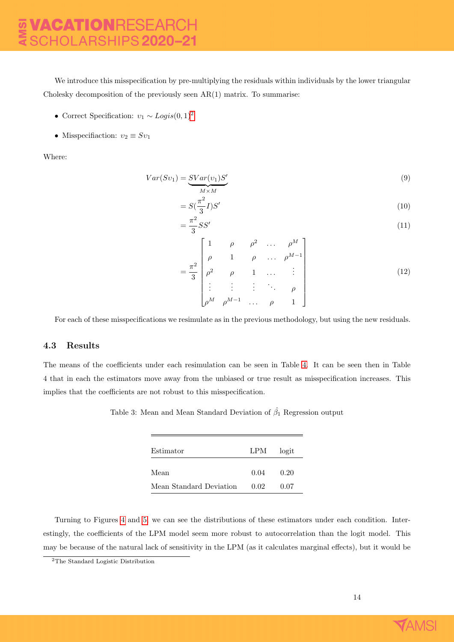We introduce this misspecification by pre-multiplying the residuals within individuals by the lower triangular Cholesky decomposition of the previously seen  $AR(1)$  matrix. To summarise:

- Correct Specification:  $v_1 \sim Logistic(0, 1)^2$  $v_1 \sim Logistic(0, 1)^2$
- Misspecifiaction:  $v_2 \equiv Sv_1$

Where:

$$
Var(Sv_1) = \underbrace{SVar(v_1)S'}_{M \times M}
$$
\n(9)

$$
=S(\frac{\pi^2}{3}I)S'\tag{10}
$$

$$
=\frac{\pi^2}{3}SS'\tag{11}
$$

$$
= \frac{\pi^2}{3} \begin{bmatrix} 1 & \rho & \rho^2 & \dots & \rho^M \\ \rho & 1 & \rho & \dots & \rho^{M-1} \\ \rho^2 & \rho & 1 & \dots & \vdots \\ \vdots & \vdots & \vdots & \ddots & \rho \\ \rho^M & \rho^{M-1} & \dots & \rho & 1 \end{bmatrix}
$$
(12)

For each of these misspecifications we resimulate as in the previous methodology, but using the new residuals.

#### <span id="page-14-0"></span>4.3 Results

The means of the coefficients under each resimulation can be seen in Table [4.](#page-15-0) It can be seen then in Table 4 that in each the estimators move away from the unbiased or true result as misspecification increases. This implies that the coefficients are not robust to this misspecification.

Table 3: Mean and Mean Standard Deviation of  $\hat{\beta}_1$  Regression output

| Estimator               | LPM  | logit |
|-------------------------|------|-------|
|                         |      |       |
| Mean                    | 0.04 | 0.20  |
| Mean Standard Deviation | 0.02 | 0.07  |

Turning to Figures [4](#page-15-1) and [5,](#page-16-1) we can see the distributions of these estimators under each condition. Interestingly, the coefficients of the LPM model seem more robust to autocorrelation than the logit model. This may be because of the natural lack of sensitivity in the LPM (as it calculates marginal effects), but it would be



<span id="page-14-1"></span><sup>2</sup>The Standard Logistic Distribution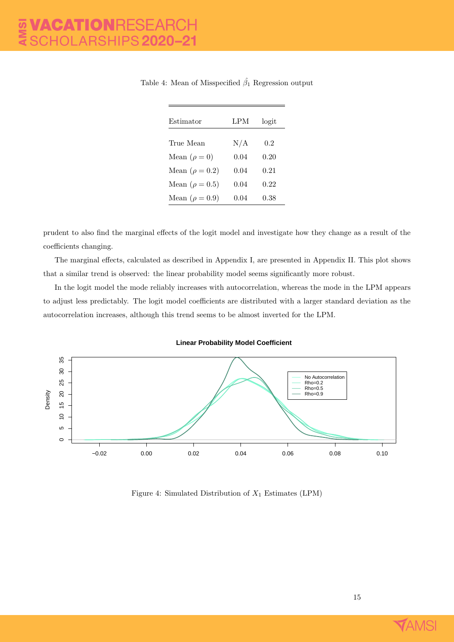| Estimator             | LPM       | logit |
|-----------------------|-----------|-------|
|                       |           |       |
| True Mean             | $\rm N/A$ | 0.2   |
| Mean $(\rho = 0)$     | 0.04      | 0.20  |
| Mean $(\rho = 0.2)$   | 0.04      | 0.21  |
| Mean ( $\rho = 0.5$ ) | 0.04      | 0.22  |
| Mean $(\rho = 0.9)$   | 0.04      | 0.38  |
|                       |           |       |

<span id="page-15-0"></span>Table 4: Mean of Misspecified  $\hat{\beta}_1$  Regression output

prudent to also find the marginal effects of the logit model and investigate how they change as a result of the coefficients changing.

The marginal effects, calculated as described in Appendix I, are presented in Appendix II. This plot shows that a similar trend is observed: the linear probability model seems significantly more robust.

In the logit model the mode reliably increases with autocorrelation, whereas the mode in the LPM appears to adjust less predictably. The logit model coefficients are distributed with a larger standard deviation as the autocorrelation increases, although this trend seems to be almost inverted for the LPM.



<span id="page-15-1"></span>

Figure 4: Simulated Distribution of  $X_1$  Estimates (LPM)

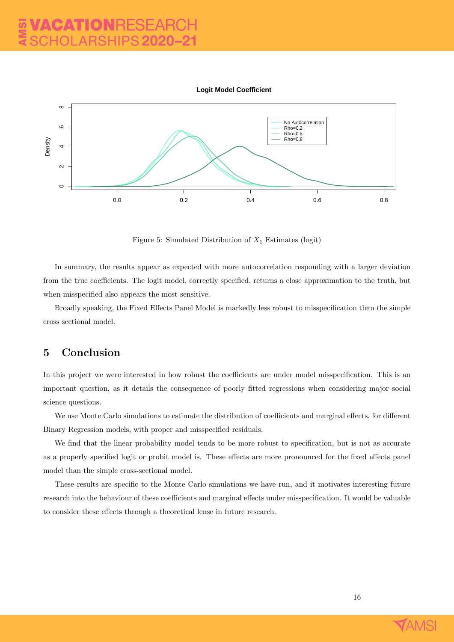

<span id="page-16-1"></span>

Figure 5: Simulated Distribution of  $X_1$  Estimates (logit)

In summary, the results appear as expected with more autocorrelation responding with a larger deviation from the true coefficients. The logit model, correctly specified, returns a close approximation to the truth, but when misspecified also appears the most sensitive.

Broadly speaking, the Fixed Effects Panel Model is markedly less robust to misspecification than the simple cross sectional model.

## <span id="page-16-0"></span>5 Conclusion

In this project we were interested in how robust the coefficients are under model misspecification. This is an important question, as it details the consequence of poorly fitted regressions when considering major social science questions.

We use Monte Carlo simulations to estimate the distribution of coefficients and marginal effects, for different Binary Regression models, with proper and misspecified residuals.

We find that the linear probability model tends to be more robust to specification, but is not as accurate as a properly specified logit or probit model is. These effects are more pronounced for the fixed effects panel model than the simple cross-sectional model.

These results are specific to the Monte Carlo simulations we have run, and it motivates interesting future research into the behaviour of these coefficients and marginal effects under misspecification. It would be valuable to consider these effects through a theoretical lense in future research.

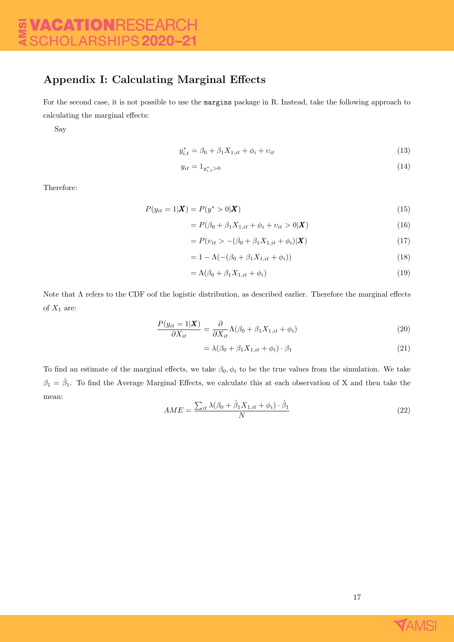## Appendix I: Calculating Marginal Effects

For the second case, it is not possible to use the margins package in R. Instead, take the following approach to calculating the marginal effects:

Say

$$
y_{i,t}^* = \beta_0 + \beta_1 X_{1,it} + \phi_i + v_{it}
$$
\n(13)

$$
y_{it} = 1_{y_{i,t}^* > 0} \tag{14}
$$

Therefore:

$$
P(y_{it} = 1 | \mathbf{X}) = P(y^* > 0 | \mathbf{X})
$$
\n(15)

$$
= P(\beta_0 + \beta_1 X_{1,it} + \phi_i + v_{it} > 0 | \mathbf{X})
$$
\n(16)

$$
= P(v_{it} > -(\beta_0 + \beta_1 X_{1,it} + \phi_i)|\mathbf{X})
$$
\n(17)

$$
= 1 - \Lambda(-(\beta_0 + \beta_1 X_{1,it} + \phi_i))
$$
\n(18)

$$
= \Lambda(\beta_0 + \beta_1 X_{1,it} + \phi_i) \tag{19}
$$

Note that  $\Lambda$  refers to the CDF oof the logistic distribution, as described earlier. Therefore the marginal effects of  $X_1$  are:

$$
\frac{P(y_{it} = 1|\boldsymbol{X})}{\partial X_{it}} = \frac{\partial}{\partial X_{it}} \Lambda(\beta_0 + \beta_1 X_{1,it} + \phi_i)
$$
\n(20)

$$
= \lambda(\beta_0 + \beta_1 X_{1,it} + \phi_i) \cdot \beta_1 \tag{21}
$$

To find an estimate of the marginal effects, we take  $\beta_0$ ,  $\phi_i$  to be the true values from the simulation. We take  $\beta_1 = \hat{\beta}_1$ . To find the Average Marginal Effects, we calculate this at each observation of X and then take the mean:

$$
AME = \frac{\sum_{it} \lambda(\beta_0 + \hat{\beta}_1 X_{1,it} + \phi_i) \cdot \hat{\beta}_1}{N}
$$
\n(22)

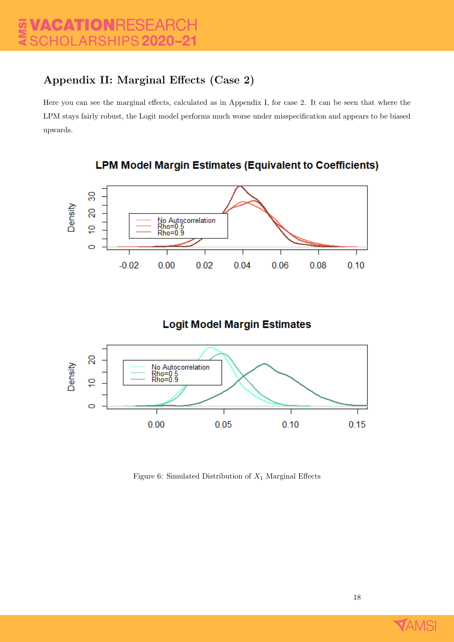# Appendix II: Marginal Effects (Case 2)

Here you can see the marginal effects, calculated as in Appendix I, for case 2. It can be seen that where the LPM stays fairly robust, the Logit model performs much worse under misspecification and appears to be biased upwards.



# **LPM Model Margin Estimates (Equivalent to Coefficients)**

# **Logit Model Margin Estimates**



Figure 6: Simulated Distribution of  $X_1$  Marginal Effects

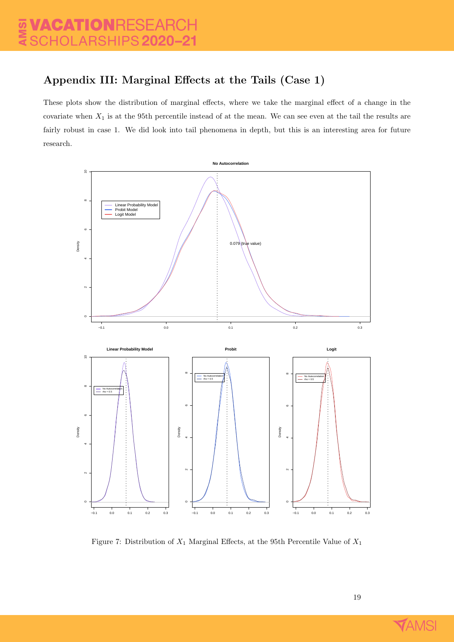# Appendix III: Marginal Effects at the Tails (Case 1)

These plots show the distribution of marginal effects, where we take the marginal effect of a change in the covariate when  $X_1$  is at the 95th percentile instead of at the mean. We can see even at the tail the results are fairly robust in case 1. We did look into tail phenomena in depth, but this is an interesting area for future research.



Figure 7: Distribution of  $X_1$  Marginal Effects, at the 95th Percentile Value of  $X_1$